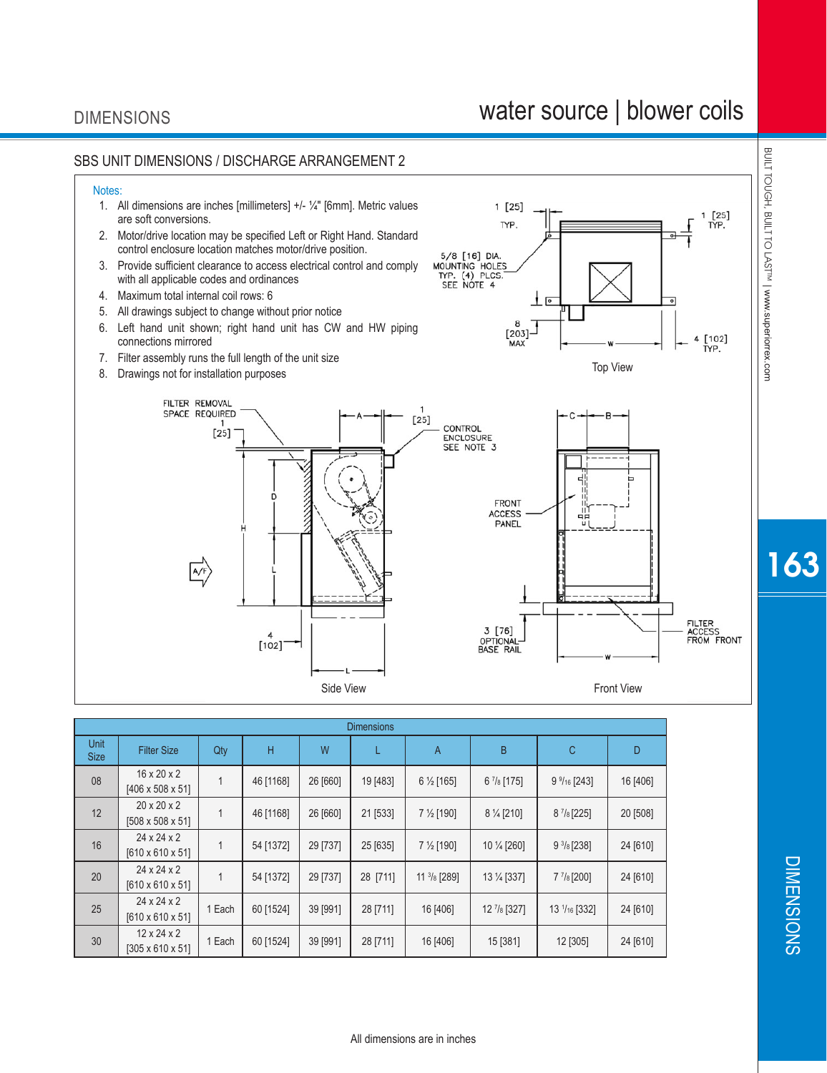#### DIMENSIONS

# water source | blower coils



| <b>Dimensions</b>   |                                                         |        |           |          |          |                        |                          |                       |          |  |
|---------------------|---------------------------------------------------------|--------|-----------|----------|----------|------------------------|--------------------------|-----------------------|----------|--|
| Unit<br><b>Size</b> | <b>Filter Size</b>                                      | Qty    | Н         | W        |          | A                      | B                        | С                     | D        |  |
| 08                  | $16 \times 20 \times 2$<br>$[406 \times 508 \times 51]$ |        | 46 [1168] | 26 [660] | 19 [483] | $6\frac{1}{2}$ [165]   | $6\frac{7}{8}$ [175]     | $9\frac{9}{16}$ [243] | 16 [406] |  |
| 12                  | $20 \times 20 \times 2$<br>$[508 \times 508 \times 51]$ |        | 46 [1168] | 26 [660] | 21 [533] | $7\frac{1}{2}$ [190]   | $8\frac{1}{4}$ [210]     | $8^{7}/8$ [225]       | 20 [508] |  |
| 16                  | $24 \times 24 \times 2$<br>$[610 \times 610 \times 51]$ |        | 54 [1372] | 29 [737] | 25 [635] | $7\frac{1}{2}$ [190]   | 10 1/4 [260]             | $9\frac{3}{8}$ [238]  | 24 [610] |  |
| 20                  | $24 \times 24 \times 2$<br>$[610 \times 610 \times 51]$ |        | 54 [1372] | 29 [737] | 28 [711] | $11 \frac{3}{8}$ [289] | 13 1/4 [337]             | $7\frac{7}{8}$ [200]  | 24 [610] |  |
| 25                  | $24 \times 24 \times 2$<br>$[610 \times 610 \times 51]$ | 1 Each | 60 [1524] | 39 [991] | 28 [711] | 16 [406]               | $12$ $\frac{7}{8}$ [327] | 13 $1/16$ [332]       | 24 [610] |  |
| 30                  | $12 \times 24 \times 2$<br>$[305 \times 610 \times 51]$ | 1 Each | 60 [1524] | 39 [991] | 28 [711] | 16 [406]               | 15 [381]                 | 12 [305]              | 24 [610] |  |

BUILT TOUGH, BUILT TO LASTIM | www.superiorrex.com BUILT TOUGH, BUILT TO LAST™| www.superiorrex.com

163